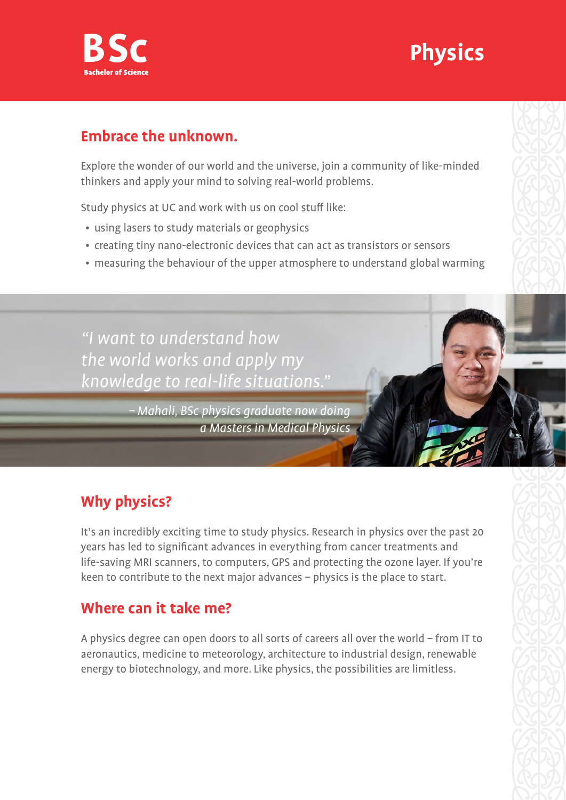

# **Physics**

#### **Embrace the unknown.**

Explore the wonder of our world and the universe, join a community of like-minded thinkers and apply your mind to solving real-world problems.

Study physics at UC and work with us on cool stuff like:

- using lasers to study materials or geophysics
- creating tiny nano-electronic devices that can act as transistors or sensors
- measuring the behaviour of the upper atmosphere to understand global warming

"I want to understand how the world works and apply my knowledge to real-life situations."

> – Mahali, BSc physics graduate now doing a Masters in Medical Physics

## **Why physics?**

It's an incredibly exciting time to study physics. Research in physics over the past 20 years has led to significant advances in everything from cancer treatments and life-saving MRI scanners, to computers, GPS and protecting the ozone layer. If you're keen to contribute to the next major advances – physics is the place to start.

### **Where can it take me?**

A physics degree can open doors to all sorts of careers all over the world – from IT to aeronautics, medicine to meteorology, architecture to industrial design, renewable energy to biotechnology, and more. Like physics, the possibilities are limitless.